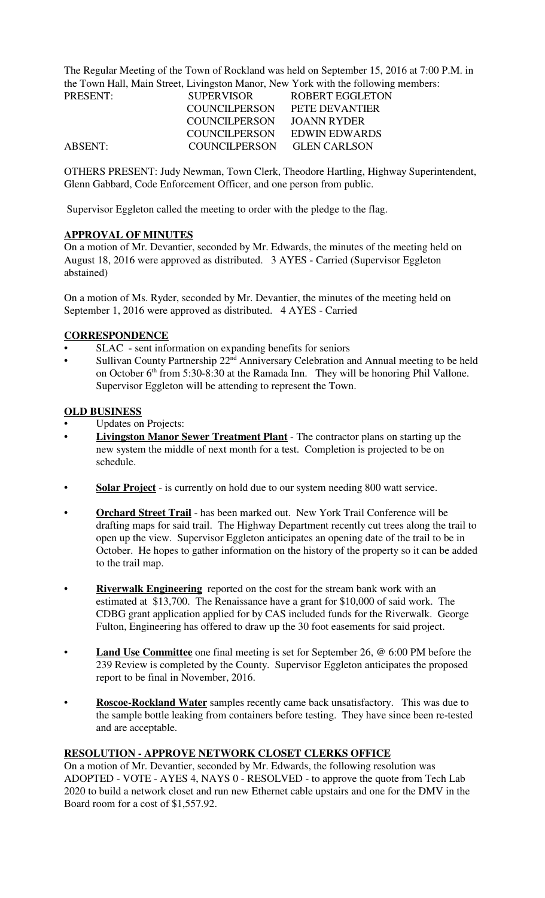The Regular Meeting of the Town of Rockland was held on September 15, 2016 at 7:00 P.M. in the Town Hall, Main Street, Livingston Manor, New York with the following members:

| PRESENT: | <b>SUPERVISOR</b>    | ROBERT EGGLETON     |
|----------|----------------------|---------------------|
|          | <b>COUNCILPERSON</b> | PETE DEVANTIER      |
|          | COUNCILPERSON        | JOANN RYDER         |
|          | COUNCILPERSON        | EDWIN EDWARDS       |
| ABSENT:  | COUNCILPERSON        | <b>GLEN CARLSON</b> |

OTHERS PRESENT: Judy Newman, Town Clerk, Theodore Hartling, Highway Superintendent, Glenn Gabbard, Code Enforcement Officer, and one person from public.

Supervisor Eggleton called the meeting to order with the pledge to the flag.

## **APPROVAL OF MINUTES**

On a motion of Mr. Devantier, seconded by Mr. Edwards, the minutes of the meeting held on August 18, 2016 were approved as distributed. 3 AYES - Carried (Supervisor Eggleton abstained)

On a motion of Ms. Ryder, seconded by Mr. Devantier, the minutes of the meeting held on September 1, 2016 were approved as distributed. 4 AYES - Carried

## **CORRESPONDENCE**

- SLAC sent information on expanding benefits for seniors
- Sullivan County Partnership  $22<sup>nd</sup>$  Anniversary Celebration and Annual meeting to be held on October  $6<sup>th</sup>$  from 5:30-8:30 at the Ramada Inn. They will be honoring Phil Vallone. Supervisor Eggleton will be attending to represent the Town.

## **OLD BUSINESS**

- Updates on Projects:
- **Livingston Manor Sewer Treatment Plant** The contractor plans on starting up the new system the middle of next month for a test. Completion is projected to be on schedule.
- **Solar Project** is currently on hold due to our system needing 800 watt service.
- **Orchard Street Trail** has been marked out. New York Trail Conference will be drafting maps for said trail. The Highway Department recently cut trees along the trail to open up the view. Supervisor Eggleton anticipates an opening date of the trail to be in October. He hopes to gather information on the history of the property so it can be added to the trail map.
- **Riverwalk Engineering** reported on the cost for the stream bank work with an estimated at \$13,700. The Renaissance have a grant for \$10,000 of said work. The CDBG grant application applied for by CAS included funds for the Riverwalk. George Fulton, Engineering has offered to draw up the 30 foot easements for said project.
- **Land Use Committee** one final meeting is set for September 26, @ 6:00 PM before the 239 Review is completed by the County. Supervisor Eggleton anticipates the proposed report to be final in November, 2016.
- **Roscoe-Rockland Water** samples recently came back unsatisfactory. This was due to the sample bottle leaking from containers before testing. They have since been re-tested and are acceptable.

# **RESOLUTION - APPROVE NETWORK CLOSET CLERKS OFFICE**

On a motion of Mr. Devantier, seconded by Mr. Edwards, the following resolution was ADOPTED - VOTE - AYES 4, NAYS 0 - RESOLVED - to approve the quote from Tech Lab 2020 to build a network closet and run new Ethernet cable upstairs and one for the DMV in the Board room for a cost of \$1,557.92.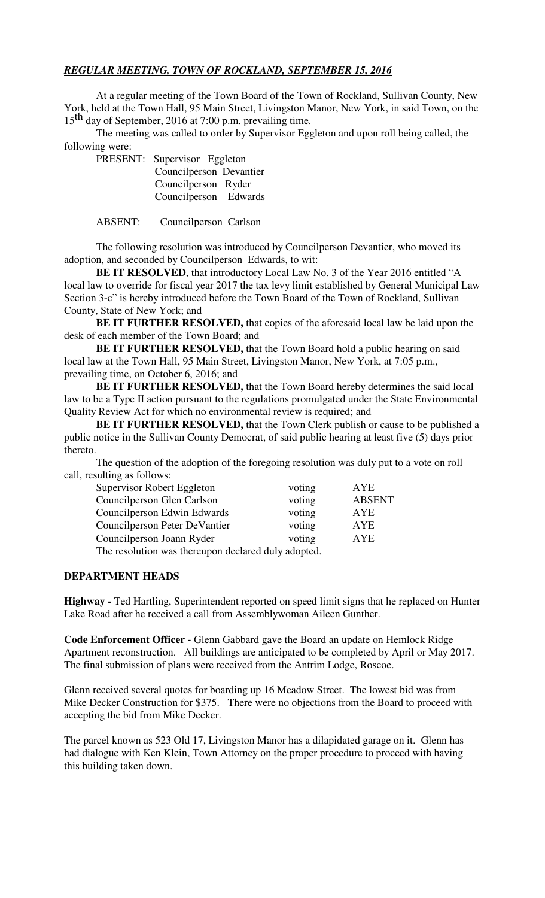## *REGULAR MEETING, TOWN OF ROCKLAND, SEPTEMBER 15, 2016*

At a regular meeting of the Town Board of the Town of Rockland, Sullivan County, New York, held at the Town Hall, 95 Main Street, Livingston Manor, New York, in said Town, on the 15<sup>th</sup> day of September, 2016 at 7:00 p.m. prevailing time.

The meeting was called to order by Supervisor Eggleton and upon roll being called, the following were:

PRESENT: Supervisor Eggleton Councilperson Devantier Councilperson Ryder Councilperson Edwards

ABSENT: Councilperson Carlson

The following resolution was introduced by Councilperson Devantier, who moved its adoption, and seconded by Councilperson Edwards, to wit:

**BE IT RESOLVED**, that introductory Local Law No. 3 of the Year 2016 entitled "A local law to override for fiscal year 2017 the tax levy limit established by General Municipal Law Section 3-c" is hereby introduced before the Town Board of the Town of Rockland, Sullivan County, State of New York; and

**BE IT FURTHER RESOLVED,** that copies of the aforesaid local law be laid upon the desk of each member of the Town Board; and

**BE IT FURTHER RESOLVED, that the Town Board hold a public hearing on said** local law at the Town Hall, 95 Main Street, Livingston Manor, New York, at 7:05 p.m., prevailing time, on October 6, 2016; and

**BE IT FURTHER RESOLVED,** that the Town Board hereby determines the said local law to be a Type II action pursuant to the regulations promulgated under the State Environmental Quality Review Act for which no environmental review is required; and

**BE IT FURTHER RESOLVED, that the Town Clerk publish or cause to be published a** public notice in the Sullivan County Democrat, of said public hearing at least five (5) days prior thereto.

The question of the adoption of the foregoing resolution was duly put to a vote on roll call, resulting as follows:

| Supervisor Robert Eggleton                  | voting | <b>AYE</b>    |
|---------------------------------------------|--------|---------------|
| Councilperson Glen Carlson                  | voting | <b>ABSENT</b> |
| Councilperson Edwin Edwards                 | voting | AYE           |
| Councilperson Peter DeVantier               | voting | <b>AYE</b>    |
| Councilperson Joann Ryder                   | voting | <b>AYE</b>    |
| $T = 1$ , $1$ , $1$ , $1$ , $1$ , $1$ , $1$ |        |               |

The resolution was thereupon declared duly adopted.

#### **DEPARTMENT HEADS**

**Highway -** Ted Hartling, Superintendent reported on speed limit signs that he replaced on Hunter Lake Road after he received a call from Assemblywoman Aileen Gunther.

**Code Enforcement Officer -** Glenn Gabbard gave the Board an update on Hemlock Ridge Apartment reconstruction. All buildings are anticipated to be completed by April or May 2017. The final submission of plans were received from the Antrim Lodge, Roscoe.

Glenn received several quotes for boarding up 16 Meadow Street. The lowest bid was from Mike Decker Construction for \$375. There were no objections from the Board to proceed with accepting the bid from Mike Decker.

The parcel known as 523 Old 17, Livingston Manor has a dilapidated garage on it. Glenn has had dialogue with Ken Klein, Town Attorney on the proper procedure to proceed with having this building taken down.